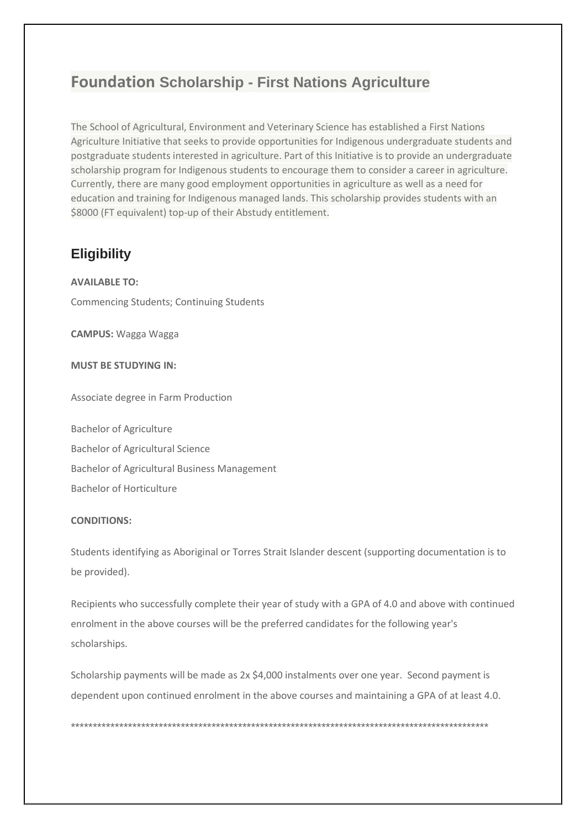## **Foundation Scholarship - First Nations Agriculture**

The School of Agricultural, Environment and Veterinary Science has established a First Nations Agriculture Initiative that seeks to provide opportunities for Indigenous undergraduate students and postgraduate students interested in agriculture. Part of this Initiative is to provide an undergraduate scholarship program for Indigenous students to encourage them to consider a career in agriculture. Currently, there are many good employment opportunities in agriculture as well as a need for education and training for Indigenous managed lands. This scholarship provides students with an \$8000 (FT equivalent) top-up of their Abstudy entitlement.

### **Eligibility**

**AVAILABLE TO:** 

**Commencing Students; Continuing Students** 

**CAMPUS: Wagga Wagga** 

**MUST BE STUDYING IN:** 

Associate degree in Farm Production

**Bachelor of Agriculture Bachelor of Agricultural Science Bachelor of Agricultural Business Management Bachelor of Horticulture** 

#### **CONDITIONS:**

Students identifying as Aboriginal or Torres Strait Islander descent (supporting documentation is to be provided).

Recipients who successfully complete their year of study with a GPA of 4.0 and above with continued enrolment in the above courses will be the preferred candidates for the following year's scholarships.

Scholarship payments will be made as 2x \$4,000 instalments over one year. Second payment is dependent upon continued enrolment in the above courses and maintaining a GPA of at least 4.0.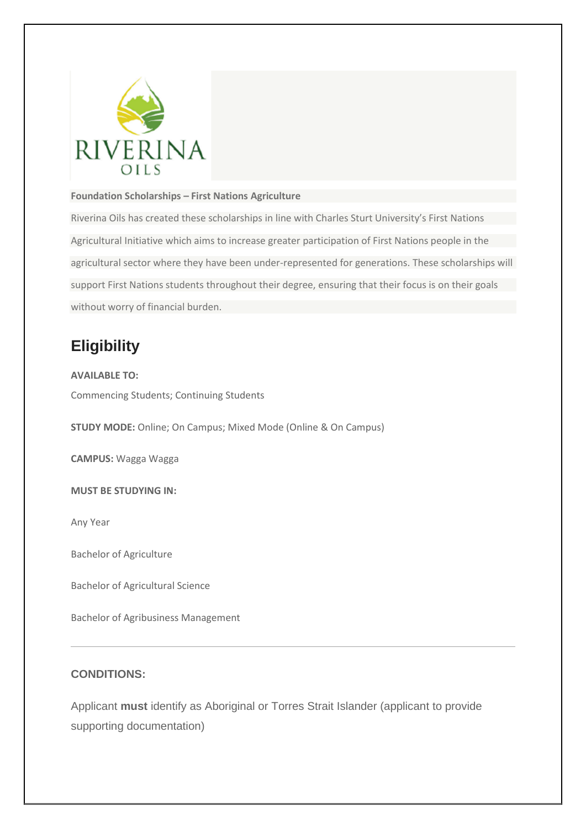

#### **Foundation Scholarships – First Nations Agriculture**

Riverina Oils has created these scholarships in line with Charles Sturt University's First Nations Agricultural Initiative which aims to increase greater participation of First Nations people in the agricultural sector where they have been under-represented for generations. These scholarships will support First Nations students throughout their degree, ensuring that their focus is on their goals without worry of financial burden.

# **Eligibility**

**AVAILABLE TO:** Commencing Students; Continuing Students

**STUDY MODE:** Online; On Campus; Mixed Mode (Online & On Campus)

**CAMPUS:** Wagga Wagga

**MUST BE STUDYING IN:**

Any Year

Bachelor of Agriculture

Bachelor of Agricultural Science

Bachelor of Agribusiness Management

#### **CONDITIONS:**

Applicant **must** identify as Aboriginal or Torres Strait Islander (applicant to provide supporting documentation)